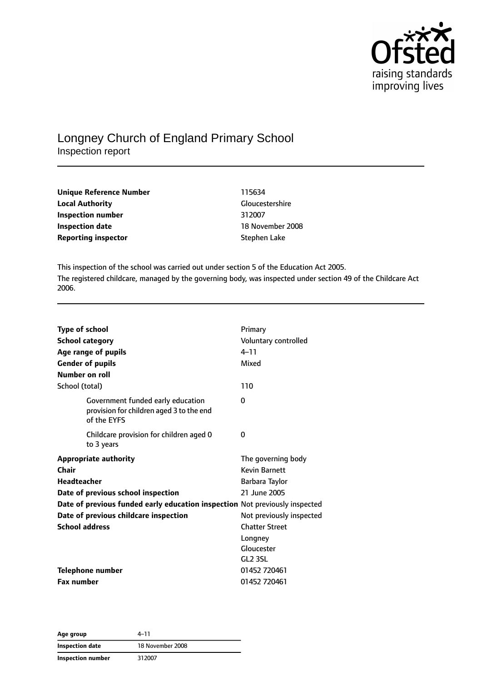

# Longney Church of England Primary School Inspection report

| Unique Reference Number    | 115634                 |  |
|----------------------------|------------------------|--|
| <b>Local Authority</b>     | <b>Gloucestershire</b> |  |
| Inspection number          | 312007                 |  |
| <b>Inspection date</b>     | 18 November 2008       |  |
| <b>Reporting inspector</b> | Stephen Lake           |  |

This inspection of the school was carried out under section 5 of the Education Act 2005. The registered childcare, managed by the governing body, was inspected under section 49 of the Childcare Act 2006.

| <b>Type of school</b>                                                                        | Primary                  |
|----------------------------------------------------------------------------------------------|--------------------------|
| <b>School category</b>                                                                       | Voluntary controlled     |
| Age range of pupils                                                                          | $4 - 11$                 |
| <b>Gender of pupils</b>                                                                      | Mixed                    |
| Number on roll                                                                               |                          |
| School (total)                                                                               | 110                      |
| Government funded early education<br>provision for children aged 3 to the end<br>of the EYFS | 0                        |
| Childcare provision for children aged 0<br>to 3 years                                        | 0                        |
| <b>Appropriate authority</b>                                                                 | The governing body       |
| Chair                                                                                        | <b>Kevin Barnett</b>     |
| <b>Headteacher</b>                                                                           | Barbara Taylor           |
| Date of previous school inspection                                                           | 21 June 2005             |
| Date of previous funded early education inspection Not previously inspected                  |                          |
| Date of previous childcare inspection                                                        | Not previously inspected |
| <b>School address</b>                                                                        | <b>Chatter Street</b>    |
|                                                                                              | Longney                  |
|                                                                                              | Gloucester               |
|                                                                                              | GL <sub>2</sub> 3SL      |
| <b>Telephone number</b>                                                                      | 01452 720461             |
| <b>Fax number</b>                                                                            | 01452 720461             |

| Age group         | 4–11             |
|-------------------|------------------|
| Inspection date   | 18 November 2008 |
| Inspection number | 312007           |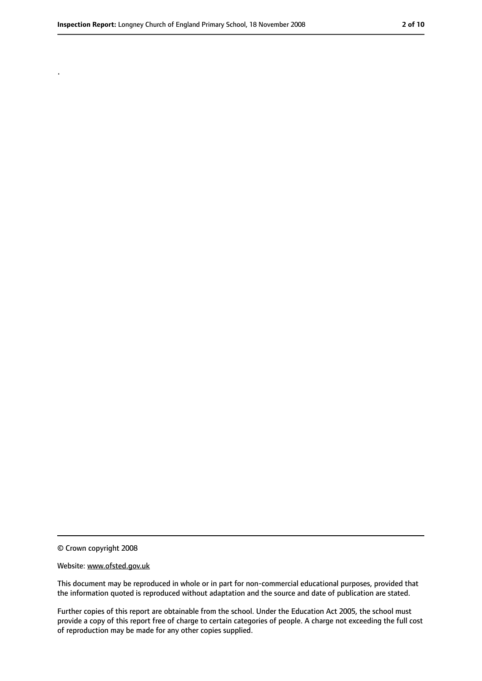.

<sup>©</sup> Crown copyright 2008

Website: www.ofsted.gov.uk

This document may be reproduced in whole or in part for non-commercial educational purposes, provided that the information quoted is reproduced without adaptation and the source and date of publication are stated.

Further copies of this report are obtainable from the school. Under the Education Act 2005, the school must provide a copy of this report free of charge to certain categories of people. A charge not exceeding the full cost of reproduction may be made for any other copies supplied.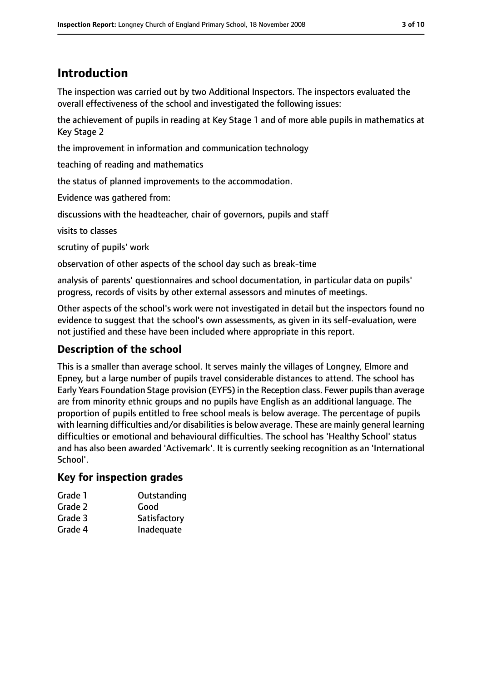# **Introduction**

The inspection was carried out by two Additional Inspectors. The inspectors evaluated the overall effectiveness of the school and investigated the following issues:

the achievement of pupils in reading at Key Stage 1 and of more able pupils in mathematics at Key Stage 2

the improvement in information and communication technology

teaching of reading and mathematics

the status of planned improvements to the accommodation.

Evidence was gathered from:

discussions with the headteacher, chair of governors, pupils and staff

visits to classes

scrutiny of pupils' work

observation of other aspects of the school day such as break-time

analysis of parents' questionnaires and school documentation, in particular data on pupils' progress, records of visits by other external assessors and minutes of meetings.

Other aspects of the school's work were not investigated in detail but the inspectors found no evidence to suggest that the school's own assessments, as given in its self-evaluation, were not justified and these have been included where appropriate in this report.

# **Description of the school**

This is a smaller than average school. It serves mainly the villages of Longney, Elmore and Epney, but a large number of pupils travel considerable distances to attend. The school has Early Years Foundation Stage provision (EYFS) in the Reception class. Fewer pupilsthan average are from minority ethnic groups and no pupils have English as an additional language. The proportion of pupils entitled to free school meals is below average. The percentage of pupils with learning difficulties and/or disabilities is below average. These are mainly general learning difficulties or emotional and behavioural difficulties. The school has 'Healthy School' status and has also been awarded 'Activemark'. It is currently seeking recognition as an 'International School'.

### **Key for inspection grades**

| Grade 1 | Outstanding  |
|---------|--------------|
| Grade 2 | Good         |
| Grade 3 | Satisfactory |
| Grade 4 | Inadequate   |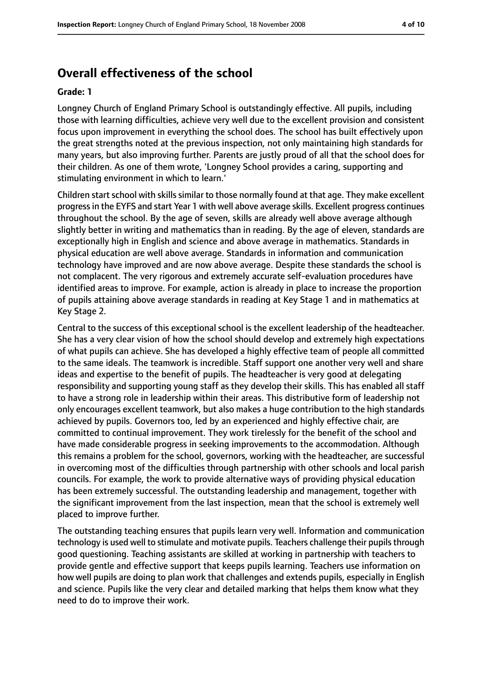# **Overall effectiveness of the school**

#### **Grade: 1**

Longney Church of England Primary School is outstandingly effective. All pupils, including those with learning difficulties, achieve very well due to the excellent provision and consistent focus upon improvement in everything the school does. The school has built effectively upon the great strengths noted at the previous inspection, not only maintaining high standards for many years, but also improving further. Parents are justly proud of all that the school does for their children. As one of them wrote, 'Longney School provides a caring, supporting and stimulating environment in which to learn.'

Children start school with skills similar to those normally found at that age. They make excellent progressin the EYFS and start Year 1 with well above average skills. Excellent progress continues throughout the school. By the age of seven, skills are already well above average although slightly better in writing and mathematics than in reading. By the age of eleven, standards are exceptionally high in English and science and above average in mathematics. Standards in physical education are well above average. Standards in information and communication technology have improved and are now above average. Despite these standards the school is not complacent. The very rigorous and extremely accurate self-evaluation procedures have identified areas to improve. For example, action is already in place to increase the proportion of pupils attaining above average standards in reading at Key Stage 1 and in mathematics at Key Stage 2.

Central to the success of this exceptional school is the excellent leadership of the headteacher. She has a very clear vision of how the school should develop and extremely high expectations of what pupils can achieve. She has developed a highly effective team of people all committed to the same ideals. The teamwork is incredible. Staff support one another very well and share ideas and expertise to the benefit of pupils. The headteacher is very good at delegating responsibility and supporting young staff as they develop their skills. This has enabled all staff to have a strong role in leadership within their areas. This distributive form of leadership not only encourages excellent teamwork, but also makes a huge contribution to the high standards achieved by pupils. Governors too, led by an experienced and highly effective chair, are committed to continual improvement. They work tirelessly for the benefit of the school and have made considerable progress in seeking improvements to the accommodation. Although this remains a problem for the school, governors, working with the headteacher, are successful in overcoming most of the difficulties through partnership with other schools and local parish councils. For example, the work to provide alternative ways of providing physical education has been extremely successful. The outstanding leadership and management, together with the significant improvement from the last inspection, mean that the school is extremely well placed to improve further.

The outstanding teaching ensures that pupils learn very well. Information and communication technology is used well to stimulate and motivate pupils. Teachers challenge their pupils through good questioning. Teaching assistants are skilled at working in partnership with teachers to provide gentle and effective support that keeps pupils learning. Teachers use information on how well pupils are doing to plan work that challenges and extends pupils, especially in English and science. Pupils like the very clear and detailed marking that helps them know what they need to do to improve their work.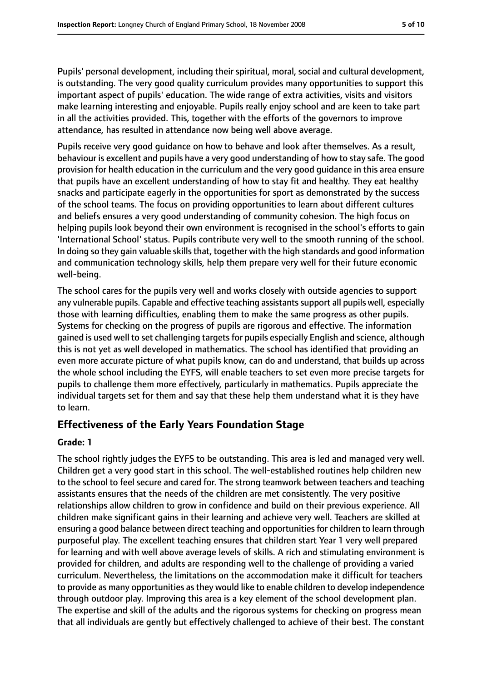Pupils' personal development, including their spiritual, moral, social and cultural development, is outstanding. The very good quality curriculum provides many opportunities to support this important aspect of pupils' education. The wide range of extra activities, visits and visitors make learning interesting and enjoyable. Pupils really enjoy school and are keen to take part in all the activities provided. This, together with the efforts of the governors to improve attendance, has resulted in attendance now being well above average.

Pupils receive very good guidance on how to behave and look after themselves. As a result, behaviour is excellent and pupils have a very good understanding of how to stay safe. The good provision for health education in the curriculum and the very good guidance in this area ensure that pupils have an excellent understanding of how to stay fit and healthy. They eat healthy snacks and participate eagerly in the opportunities for sport as demonstrated by the success of the school teams. The focus on providing opportunities to learn about different cultures and beliefs ensures a very good understanding of community cohesion. The high focus on helping pupils look beyond their own environment is recognised in the school's efforts to gain 'International School' status. Pupils contribute very well to the smooth running of the school. In doing so they gain valuable skills that, together with the high standards and good information and communication technology skills, help them prepare very well for their future economic well-being.

The school cares for the pupils very well and works closely with outside agencies to support any vulnerable pupils. Capable and effective teaching assistants support all pupils well, especially those with learning difficulties, enabling them to make the same progress as other pupils. Systems for checking on the progress of pupils are rigorous and effective. The information gained is used well to set challenging targetsfor pupils especially English and science, although this is not yet as well developed in mathematics. The school has identified that providing an even more accurate picture of what pupils know, can do and understand, that builds up across the whole school including the EYFS, will enable teachers to set even more precise targets for pupils to challenge them more effectively, particularly in mathematics. Pupils appreciate the individual targets set for them and say that these help them understand what it is they have to learn.

### **Effectiveness of the Early Years Foundation Stage**

#### **Grade: 1**

The school rightly judges the EYFS to be outstanding. This area is led and managed very well. Children get a very good start in this school. The well-established routines help children new to the school to feel secure and cared for. The strong teamwork between teachers and teaching assistants ensures that the needs of the children are met consistently. The very positive relationships allow children to grow in confidence and build on their previous experience. All children make significant gains in their learning and achieve very well. Teachers are skilled at ensuring a good balance between direct teaching and opportunities for children to learn through purposeful play. The excellent teaching ensures that children start Year 1 very well prepared for learning and with well above average levels of skills. A rich and stimulating environment is provided for children, and adults are responding well to the challenge of providing a varied curriculum. Nevertheless, the limitations on the accommodation make it difficult for teachers to provide as many opportunities asthey would like to enable children to develop independence through outdoor play. Improving this area is a key element of the school development plan. The expertise and skill of the adults and the rigorous systems for checking on progress mean that all individuals are gently but effectively challenged to achieve of their best. The constant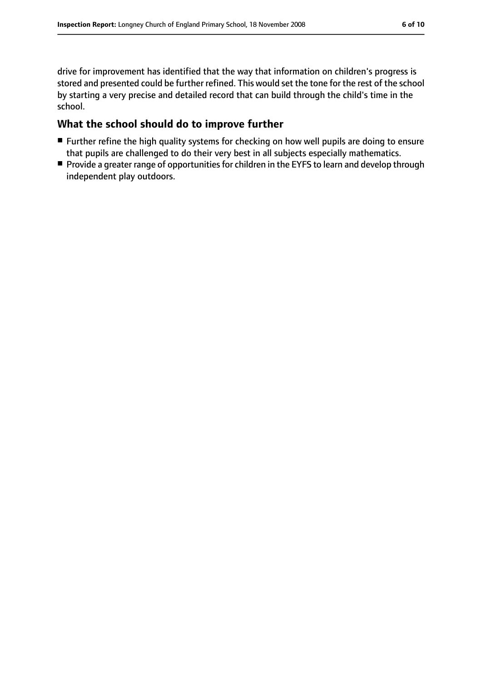drive for improvement has identified that the way that information on children's progress is stored and presented could be further refined. This would set the tone for the rest of the school by starting a very precise and detailed record that can build through the child's time in the school.

#### **What the school should do to improve further**

- Further refine the high quality systems for checking on how well pupils are doing to ensure that pupils are challenged to do their very best in all subjects especially mathematics.
- Provide a greater range of opportunities for children in the EYFS to learn and develop through independent play outdoors.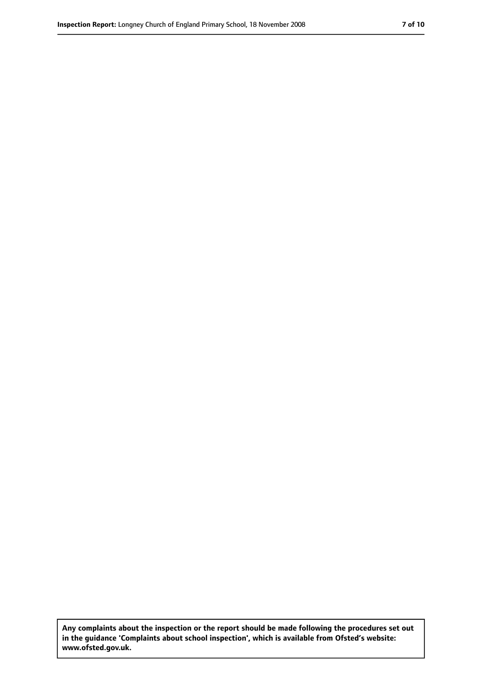**Any complaints about the inspection or the report should be made following the procedures set out in the guidance 'Complaints about school inspection', which is available from Ofsted's website: www.ofsted.gov.uk.**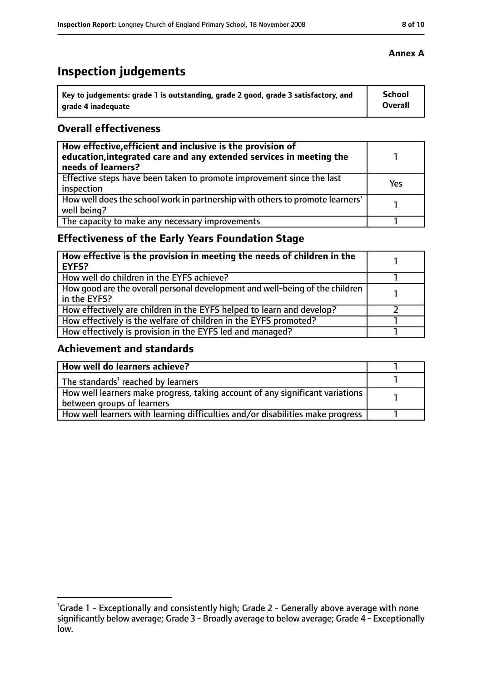# **Inspection judgements**

| Key to judgements: grade 1 is outstanding, grade 2 good, grade 3 satisfactory, and | <b>School</b> |
|------------------------------------------------------------------------------------|---------------|
| arade 4 inadequate                                                                 | Overall       |

#### **Overall effectiveness**

| How effective, efficient and inclusive is the provision of<br>education, integrated care and any extended services in meeting the<br>needs of learners? |     |
|---------------------------------------------------------------------------------------------------------------------------------------------------------|-----|
| Effective steps have been taken to promote improvement since the last<br>inspection                                                                     | Yes |
| How well does the school work in partnership with others to promote learners'<br>well being?                                                            |     |
| The capacity to make any necessary improvements                                                                                                         |     |

# **Effectiveness of the Early Years Foundation Stage**

| How effective is the provision in meeting the needs of children in the<br>EYFS?              |  |
|----------------------------------------------------------------------------------------------|--|
| How well do children in the EYFS achieve?                                                    |  |
| How good are the overall personal development and well-being of the children<br>in the EYFS? |  |
| How effectively are children in the EYFS helped to learn and develop?                        |  |
| How effectively is the welfare of children in the EYFS promoted?                             |  |
| How effectively is provision in the EYFS led and managed?                                    |  |

### **Achievement and standards**

| How well do learners achieve?                                                               |  |
|---------------------------------------------------------------------------------------------|--|
| $\vert$ The standards <sup>1</sup> reached by learners                                      |  |
| $\mid$ How well learners make progress, taking account of any significant variations $\mid$ |  |
| between groups of learners                                                                  |  |
| How well learners with learning difficulties and/or disabilities make progress              |  |

#### **Annex A**

<sup>&</sup>lt;sup>1</sup>Grade 1 - Exceptionally and consistently high; Grade 2 - Generally above average with none significantly below average; Grade 3 - Broadly average to below average; Grade 4 - Exceptionally low.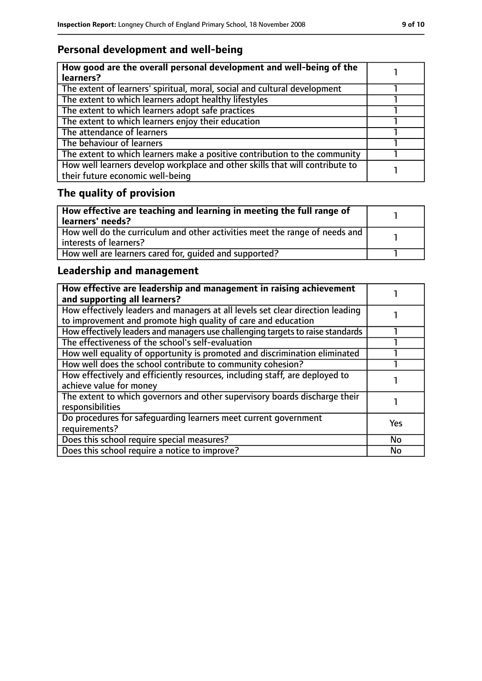# **Personal development and well-being**

| How good are the overall personal development and well-being of the<br>learners?                                 |  |
|------------------------------------------------------------------------------------------------------------------|--|
| The extent of learners' spiritual, moral, social and cultural development                                        |  |
| The extent to which learners adopt healthy lifestyles                                                            |  |
| The extent to which learners adopt safe practices                                                                |  |
| The extent to which learners enjoy their education                                                               |  |
| The attendance of learners                                                                                       |  |
| The behaviour of learners                                                                                        |  |
| The extent to which learners make a positive contribution to the community                                       |  |
| How well learners develop workplace and other skills that will contribute to<br>their future economic well-being |  |

# **The quality of provision**

| How effective are teaching and learning in meeting the full range of<br>learners' needs?              |  |
|-------------------------------------------------------------------------------------------------------|--|
| How well do the curriculum and other activities meet the range of needs and<br>interests of learners? |  |
| How well are learners cared for, quided and supported?                                                |  |

# **Leadership and management**

| How effective are leadership and management in raising achievement<br>and supporting all learners?                                              |            |
|-------------------------------------------------------------------------------------------------------------------------------------------------|------------|
| How effectively leaders and managers at all levels set clear direction leading<br>to improvement and promote high quality of care and education |            |
| How effectively leaders and managers use challenging targets to raise standards                                                                 |            |
| The effectiveness of the school's self-evaluation                                                                                               |            |
| How well equality of opportunity is promoted and discrimination eliminated                                                                      |            |
| How well does the school contribute to community cohesion?                                                                                      |            |
| How effectively and efficiently resources, including staff, are deployed to<br>achieve value for money                                          |            |
| The extent to which governors and other supervisory boards discharge their<br>responsibilities                                                  |            |
| Do procedures for safequarding learners meet current government<br>requirements?                                                                | <b>Yes</b> |
| Does this school require special measures?                                                                                                      | <b>No</b>  |
| Does this school require a notice to improve?                                                                                                   | No         |